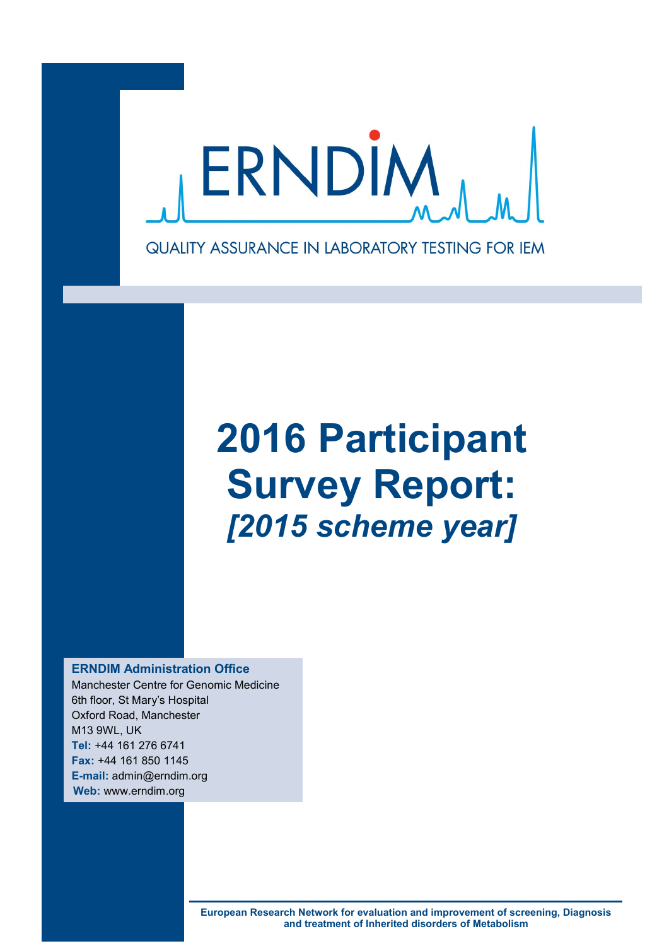

# **2016 Participant Survey Report:** *[2015 scheme year]*

**ERNDIM Administration Office**

Manchester Centre for Genomic Medicine 6th floor, St Mary's Hospital Oxford Road, Manchester M13 9WL, UK **Tel:** +44 161 276 6741 **Fax:** +44 161 850 1145 **E-mail:** admin@erndim.org **Web:** www.erndim.org

> **European Research Network for evaluation and improvement of screening, Diagnosis and treatment of Inherited disorders of Metabolism**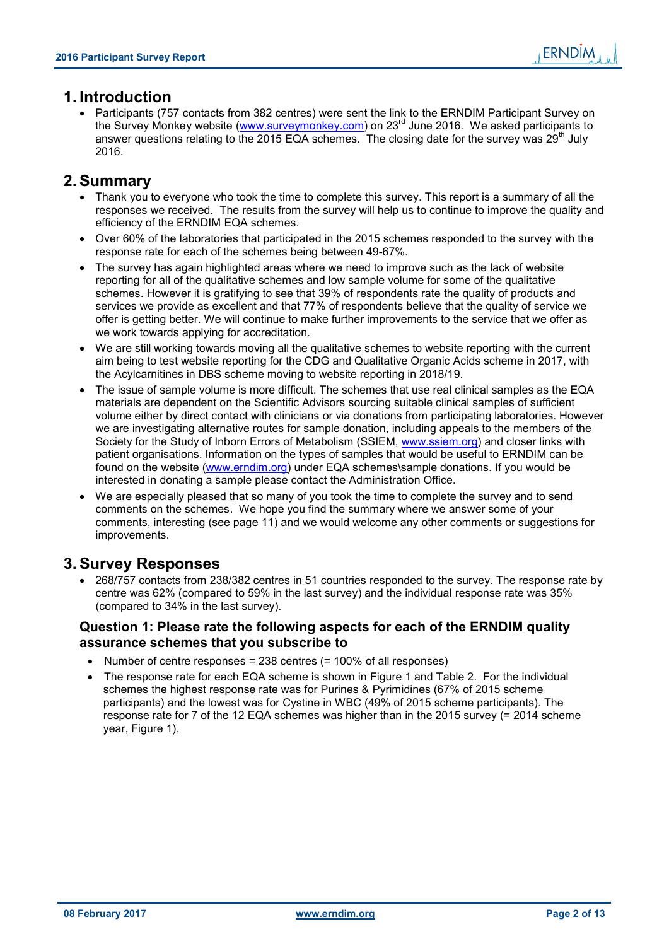# **1. Introduction**

 Participants (757 contacts from 382 centres) were sent the link to the ERNDIM Participant Survey on the Survey Monkey website (www.surveymonkey.com) on 23<sup>rd</sup> June 2016. We asked participants to answer questions relating to the 2015 EQA schemes. The closing date for the survey was 29<sup>th</sup> July 2016.

# **2. Summary**

- Thank you to everyone who took the time to complete this survey. This report is a summary of all the responses we received. The results from the survey will help us to continue to improve the quality and efficiency of the ERNDIM EQA schemes.
- Over 60% of the laboratories that participated in the 2015 schemes responded to the survey with the response rate for each of the schemes being between 49-67%.
- The survey has again highlighted areas where we need to improve such as the lack of website reporting for all of the qualitative schemes and low sample volume for some of the qualitative schemes. However it is gratifying to see that 39% of respondents rate the quality of products and services we provide as excellent and that 77% of respondents believe that the quality of service we offer is getting better. We will continue to make further improvements to the service that we offer as we work towards applying for accreditation.
- We are still working towards moving all the qualitative schemes to website reporting with the current aim being to test website reporting for the CDG and Qualitative Organic Acids scheme in 2017, with the Acylcarnitines in DBS scheme moving to website reporting in 2018/19.
- The issue of sample volume is more difficult. The schemes that use real clinical samples as the EQA materials are dependent on the Scientific Advisors sourcing suitable clinical samples of sufficient volume either by direct contact with clinicians or via donations from participating laboratories. However we are investigating alternative routes for sample donation, including appeals to the members of the Society for the Study of Inborn Errors of Metabolism (SSIEM, www.ssiem.org) and closer links with patient organisations. Information on the types of samples that would be useful to ERNDIM can be found on the website (www.erndim.org) under EQA schemes\sample donations. If you would be interested in donating a sample please contact the Administration Office.
- We are especially pleased that so many of you took the time to complete the survey and to send comments on the schemes. We hope you find the summary where we answer some of your comments, interesting (see page 11) and we would welcome any other comments or suggestions for improvements.

# **3. Survey Responses**

• 268/757 contacts from 238/382 centres in 51 countries responded to the survey. The response rate by centre was 62% (compared to 59% in the last survey) and the individual response rate was 35% (compared to 34% in the last survey).

#### **Question 1: Please rate the following aspects for each of the ERNDIM quality assurance schemes that you subscribe to**

- Number of centre responses = 238 centres  $(= 100\%$  of all responses)
- The response rate for each EQA scheme is shown in Figure 1 and Table 2. For the individual schemes the highest response rate was for Purines & Pyrimidines (67% of 2015 scheme participants) and the lowest was for Cystine in WBC (49% of 2015 scheme participants). The response rate for 7 of the 12 EQA schemes was higher than in the 2015 survey (= 2014 scheme year, Figure 1).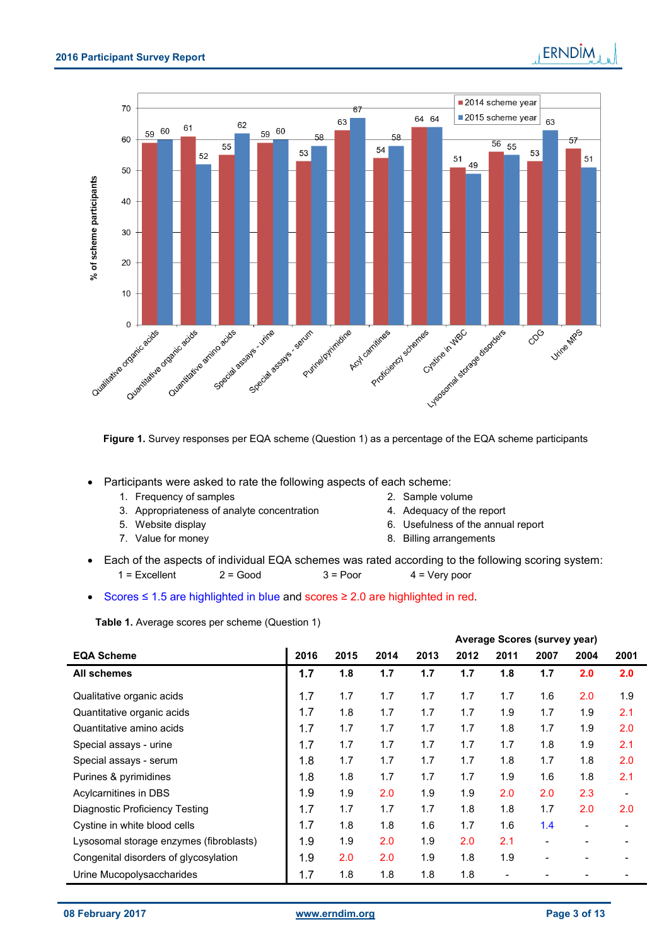% of scheme participants



**Figure 1.** Survey responses per EQA scheme (Question 1) as a percentage of the EQA scheme participants

Participants were asked to rate the following aspects of each scheme:

- 1. Frequency of samples 2. Sample volume
- 3. Appropriateness of analyte concentration 4. Adequacy of the report
- 
- 
- 
- 
- 5. Website display 6. Usefulness of the annual report
- 7. Value for money **8. Billing arrangements**
- Each of the aspects of individual EQA schemes was rated according to the following scoring system:  $1 =$  Excellent 2 = Good  $3 =$  Poor  $4 =$  Very poor

Scores ≤ 1.5 are highlighted in blue and scores ≥ 2.0 are highlighted in red.

**Table 1.** Average scores per scheme (Question 1)

|                                         |      |      |      |      |      |      | <b>Average Scores (survey year)</b> |                          |                          |
|-----------------------------------------|------|------|------|------|------|------|-------------------------------------|--------------------------|--------------------------|
| <b>EQA Scheme</b>                       | 2016 | 2015 | 2014 | 2013 | 2012 | 2011 | 2007                                | 2004                     | 2001                     |
| <b>All schemes</b>                      | 1.7  | 1.8  | 1.7  | 1.7  | 1.7  | 1.8  | 1.7                                 | 2.0                      | 2.0                      |
| Qualitative organic acids               | 1.7  | 1.7  | 1.7  | 1.7  | 1.7  | 1.7  | 1.6                                 | 2.0                      | 1.9                      |
| Quantitative organic acids              | 1.7  | 1.8  | 1.7  | 1.7  | 1.7  | 1.9  | 1.7                                 | 1.9                      | 2.1                      |
| Quantitative amino acids                | 1.7  | 1.7  | 1.7  | 1.7  | 1.7  | 1.8  | 1.7                                 | 1.9                      | 2.0                      |
| Special assays - urine                  | 1.7  | 1.7  | 1.7  | 1.7  | 1.7  | 1.7  | 1.8                                 | 1.9                      | 2.1                      |
| Special assays - serum                  | 1.8  | 1.7  | 1.7  | 1.7  | 1.7  | 1.8  | 1.7                                 | 1.8                      | 2.0                      |
| Purines & pyrimidines                   | 1.8  | 1.8  | 1.7  | 1.7  | 1.7  | 1.9  | 1.6                                 | 1.8                      | 2.1                      |
| Acylcarnitines in DBS                   | 1.9  | 1.9  | 2.0  | 1.9  | 1.9  | 2.0  | 2.0                                 | 2.3                      | $\overline{\phantom{a}}$ |
| Diagnostic Proficiency Testing          | 1.7  | 1.7  | 1.7  | 1.7  | 1.8  | 1.8  | 1.7                                 | 2.0                      | 2.0                      |
| Cystine in white blood cells            | 1.7  | 1.8  | 1.8  | 1.6  | 1.7  | 1.6  | 1.4                                 | $\overline{\phantom{a}}$ |                          |
| Lysosomal storage enzymes (fibroblasts) | 1.9  | 1.9  | 2.0  | 1.9  | 2.0  | 2.1  | $\overline{\phantom{0}}$            |                          |                          |
| Congenital disorders of glycosylation   | 1.9  | 2.0  | 2.0  | 1.9  | 1.8  | 1.9  | $\blacksquare$                      |                          |                          |
| Urine Mucopolysaccharides               | 1.7  | 1.8  | 1.8  | 1.8  | 1.8  |      |                                     |                          |                          |

**ERNDIM**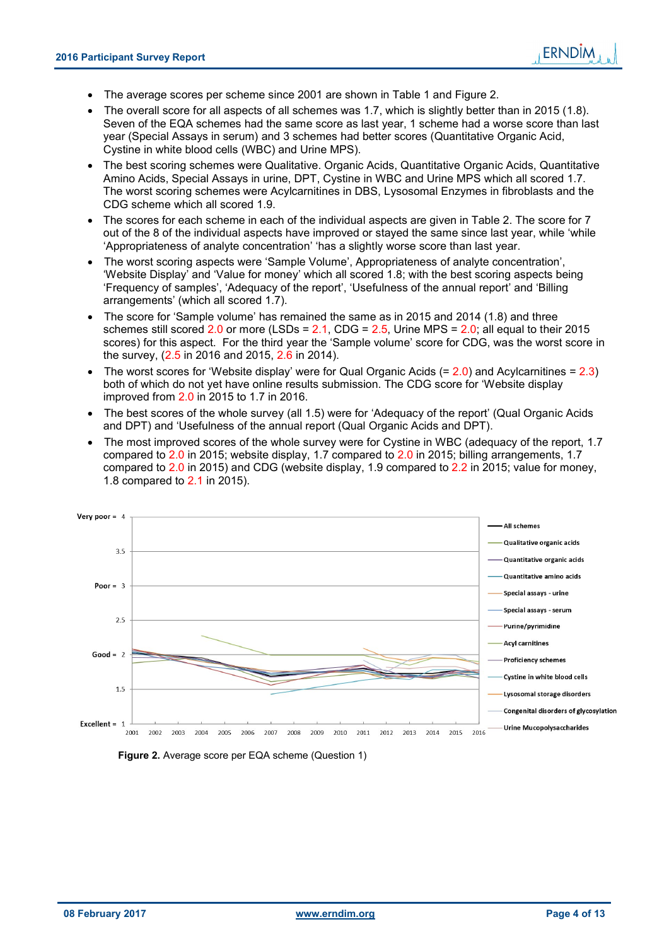- The average scores per scheme since 2001 are shown in Table 1 and Figure 2.
- The overall score for all aspects of all schemes was 1.7, which is slightly better than in 2015 (1.8). Seven of the EQA schemes had the same score as last year, 1 scheme had a worse score than last year (Special Assays in serum) and 3 schemes had better scores (Quantitative Organic Acid, Cystine in white blood cells (WBC) and Urine MPS).
- The best scoring schemes were Qualitative. Organic Acids, Quantitative Organic Acids, Quantitative Amino Acids, Special Assays in urine, DPT, Cystine in WBC and Urine MPS which all scored 1.7. The worst scoring schemes were Acylcarnitines in DBS, Lysosomal Enzymes in fibroblasts and the CDG scheme which all scored 1.9.
- The scores for each scheme in each of the individual aspects are given in Table 2. The score for 7 out of the 8 of the individual aspects have improved or stayed the same since last year, while 'while 'Appropriateness of analyte concentration' 'has a slightly worse score than last year.
- The worst scoring aspects were 'Sample Volume', Appropriateness of analyte concentration', 'Website Display' and 'Value for money' which all scored 1.8; with the best scoring aspects being 'Frequency of samples', 'Adequacy of the report', 'Usefulness of the annual report' and 'Billing arrangements' (which all scored 1.7).
- The score for 'Sample volume' has remained the same as in 2015 and 2014 (1.8) and three schemes still scored  $2.0$  or more (LSDs =  $2.1$ , CDG =  $2.5$ , Urine MPS =  $2.0$ ; all equal to their 2015 scores) for this aspect. For the third year the 'Sample volume' score for CDG, was the worst score in the survey, (2.5 in 2016 and 2015, 2.6 in 2014).
- The worst scores for 'Website display' were for Qual Organic Acids  $(= 2.0)$  and Acylcarnitines  $= 2.3$ ) both of which do not yet have online results submission. The CDG score for 'Website display improved from 2.0 in 2015 to 1.7 in 2016.
- The best scores of the whole survey (all 1.5) were for 'Adequacy of the report' (Qual Organic Acids and DPT) and 'Usefulness of the annual report (Qual Organic Acids and DPT).
- The most improved scores of the whole survey were for Cystine in WBC (adequacy of the report, 1.7 compared to 2.0 in 2015; website display, 1.7 compared to 2.0 in 2015; billing arrangements, 1.7 compared to 2.0 in 2015) and CDG (website display, 1.9 compared to 2.2 in 2015; value for money, 1.8 compared to 2.1 in 2015).



 **Figure 2.** Average score per EQA scheme (Question 1)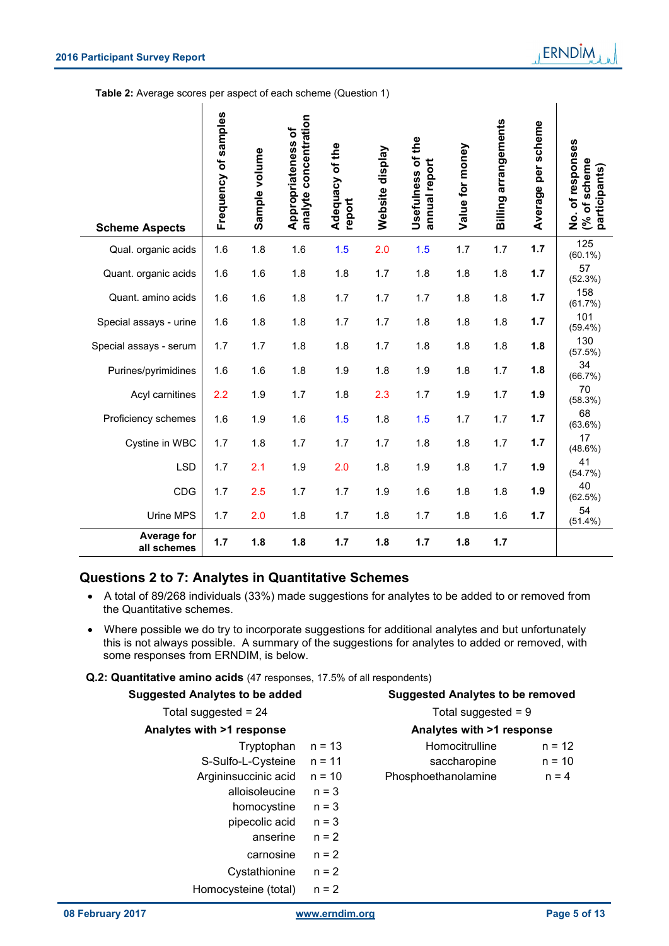|                        | Frequency of samples | Sample volume | Appropriateness of<br>analyte concentration | Adequacy of the<br>report | Website display | Usefulness of the<br>annual report | Value for money | <b>Billing arrangements</b> | per scheme<br>Average | of responses<br>of scheme<br>(% of scheme<br>participants)<br>$\dot{\mathbf{z}}$ |
|------------------------|----------------------|---------------|---------------------------------------------|---------------------------|-----------------|------------------------------------|-----------------|-----------------------------|-----------------------|----------------------------------------------------------------------------------|
| <b>Scheme Aspects</b>  |                      |               |                                             |                           |                 |                                    |                 |                             |                       | 125                                                                              |
| Qual. organic acids    | 1.6                  | 1.8           | 1.6                                         | 1.5                       | 2.0             | 1.5                                | 1.7             | 1.7                         | 1.7                   | $(60.1\%)$                                                                       |
| Quant. organic acids   | 1.6                  | 1.6           | 1.8                                         | 1.8                       | 1.7             | 1.8                                | 1.8             | 1.8                         | 1.7                   | 57<br>(52.3%)                                                                    |
| Quant. amino acids     | 1.6                  | 1.6           | 1.8                                         | 1.7                       | 1.7             | 1.7                                | 1.8             | 1.8                         | 1.7                   | 158<br>(61.7%)                                                                   |
| Special assays - urine | 1.6                  | 1.8           | 1.8                                         | 1.7                       | 1.7             | 1.8                                | 1.8             | 1.8                         | 1.7                   | 101<br>$(59.4\%)$                                                                |
| Special assays - serum | 1.7                  | 1.7           | 1.8                                         | 1.8                       | 1.7             | 1.8                                | 1.8             | 1.8                         | 1.8                   | 130<br>(57.5%)                                                                   |
| Purines/pyrimidines    | 1.6                  | 1.6           | 1.8                                         | 1.9                       | 1.8             | 1.9                                | 1.8             | 1.7                         | 1.8                   | 34<br>(66.7%)                                                                    |
| Acyl carnitines        | 2.2                  | 1.9           | 1.7                                         | 1.8                       | 2.3             | 1.7                                | 1.9             | 1.7                         | 1.9                   | 70<br>(58.3%)                                                                    |
| Proficiency schemes    | 1.6                  | 1.9           | 1.6                                         | 1.5                       | 1.8             | 1.5                                | 1.7             | 1.7                         | 1.7                   | 68<br>$(63.6\%)$                                                                 |
| Cystine in WBC         | 1.7                  | 1.8           | 1.7                                         | 1.7                       | 1.7             | 1.8                                | 1.8             | 1.7                         | 1.7                   | 17<br>$(48.6\%)$                                                                 |
| <b>LSD</b>             | 1.7                  | 2.1           | 1.9                                         | 2.0                       | 1.8             | 1.9                                | 1.8             | 1.7                         | 1.9                   | 41<br>(54.7%)                                                                    |
| CDG                    | 1.7                  | 2.5           | 1.7                                         | 1.7                       | 1.9             | 1.6                                | 1.8             | 1.8                         | 1.9                   | 40<br>(62.5%)                                                                    |
| Urine MPS              | 1.7                  | 2.0           | 1.8                                         | 1.7                       | 1.8             | 1.7                                | 1.8             | 1.6                         | 1.7                   | 54<br>$LEA$ $A$ 0/ $\lambda$                                                     |

**Table 2:** Average scores per aspect of each scheme (Question 1)

#### **Questions 2 to 7: Analytes in Quantitative Schemes**

**Average for**

 A total of 89/268 individuals (33%) made suggestions for analytes to be added to or removed from the Quantitative schemes.

**all schemes 1.7 1.8 1.8 1.7 1.8 1.7 1.8 1.7**

• Where possible we do try to incorporate suggestions for additional analytes and but unfortunately this is not always possible. A summary of the suggestions for analytes to added or removed, with some responses from ERNDIM, is below.

**Q.2: Quantitative amino acids** (47 responses, 17.5% of all respondents)

| <b>Suggested Analytes to be added</b> |          | <b>Suggested Analytes to be removed</b> |  |
|---------------------------------------|----------|-----------------------------------------|--|
| Total suggested = $24$                |          | Total suggested $= 9$                   |  |
| Analytes with >1 response             |          | Analytes with >1 response               |  |
| Tryptophan $n = 13$                   |          | Homocitrulline<br>$n = 12$              |  |
| S-Sulfo-L-Cysteine $n = 11$           |          | saccharopine<br>$n = 10$                |  |
| Argininsuccinic acid                  | $n = 10$ | Phosphoethanolamine<br>$n = 4$          |  |
| alloisoleucine                        | $n = 3$  |                                         |  |
| homocystine                           | $n = 3$  |                                         |  |
| pipecolic acid                        | $n = 3$  |                                         |  |
| anserine                              | $n = 2$  |                                         |  |
| carnosine                             | $n = 2$  |                                         |  |
| Cystathionine                         | $n = 2$  |                                         |  |
| Homocysteine (total)                  | $n = 2$  |                                         |  |

(51.4%)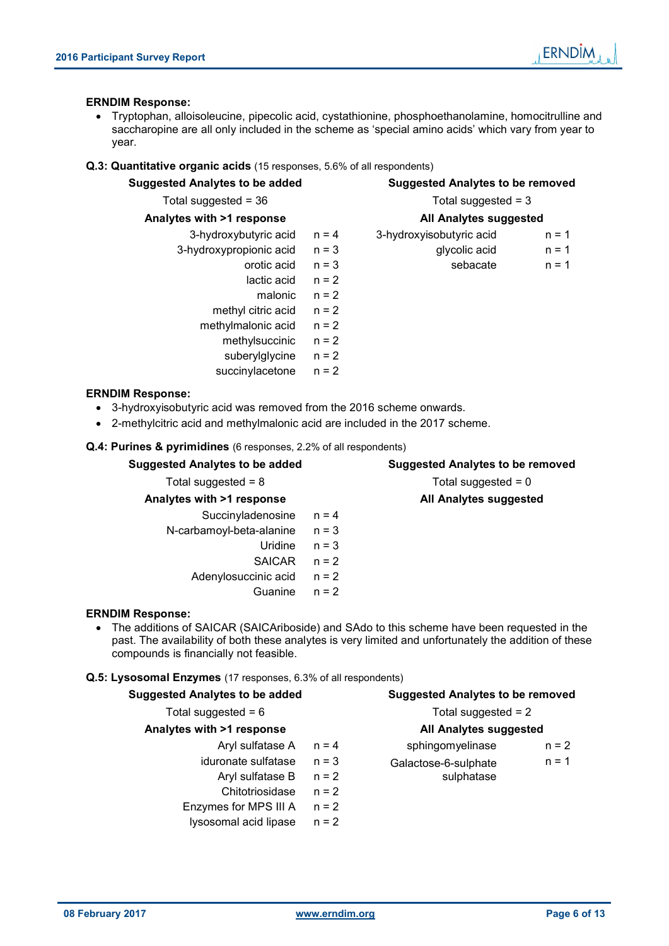#### **ERNDIM Response:**

 Tryptophan, alloisoleucine, pipecolic acid, cystathionine, phosphoethanolamine, homocitrulline and saccharopine are all only included in the scheme as 'special amino acids' which vary from year to year.

#### **Q.3: Quantitative organic acids** (15 responses, 5.6% of all respondents)

| <b>Suggested Analytes to be added</b>                                                                                                                                        | <b>Suggested Analytes to be removed</b> |                                         |  |
|------------------------------------------------------------------------------------------------------------------------------------------------------------------------------|-----------------------------------------|-----------------------------------------|--|
| Total suggested = $36$                                                                                                                                                       | Total suggested = $3$                   |                                         |  |
| Analytes with >1 response                                                                                                                                                    |                                         | All Analytes suggested                  |  |
| 3-hydroxybutyric acid                                                                                                                                                        | $n = 4$                                 | 3-hydroxyisobutyric acid<br>$n = 1$     |  |
| 3-hydroxypropionic acid                                                                                                                                                      | $n = 3$                                 | glycolic acid<br>$n = 1$                |  |
| orotic acid                                                                                                                                                                  | $n = 3$                                 | sebacate<br>$n = 1$                     |  |
| lactic acid $n = 2$                                                                                                                                                          |                                         |                                         |  |
| malonic                                                                                                                                                                      | $n = 2$                                 |                                         |  |
| methyl citric acid                                                                                                                                                           | $n = 2$                                 |                                         |  |
| methylmalonic acid                                                                                                                                                           | $n = 2$                                 |                                         |  |
| methylsuccinic                                                                                                                                                               | $n = 2$                                 |                                         |  |
| suberylglycine                                                                                                                                                               | $n = 2$                                 |                                         |  |
| succinylacetone                                                                                                                                                              | $n = 2$                                 |                                         |  |
| <b>ERNDIM Response:</b><br>3-hydroxyisobutyric acid was removed from the 2016 scheme onwards.<br>2-methylcitric acid and methylmalonic acid are included in the 2017 scheme. |                                         |                                         |  |
| Q.4: Purines & pyrimidines (6 responses, 2.2% of all respondents)                                                                                                            |                                         |                                         |  |
| <b>Suggested Analytes to be added</b>                                                                                                                                        |                                         | <b>Suggested Analytes to be removed</b> |  |
| Total suggested = $8$                                                                                                                                                        |                                         | Total suggested = $0$                   |  |
| Analytes with >1 response                                                                                                                                                    |                                         | All Analytes suggested                  |  |
| Succinyladenosine                                                                                                                                                            | $n = 4$                                 |                                         |  |
| N-carbamoyl-beta-alanine                                                                                                                                                     | $n = 3$                                 |                                         |  |
| Uridine                                                                                                                                                                      | $n = 3$                                 |                                         |  |

#### **ERNDIM Response:**

 The additions of SAICAR (SAICAriboside) and SAdo to this scheme have been requested in the past. The availability of both these analytes is very limited and unfortunately the addition of these compounds is financially not feasible.

SAICAR n = 2

Guanine n = 2

Adenylosuccinic acid  $n = 2$ 

#### **Q.5: Lysosomal Enzymes** (17 responses, 6.3% of all respondents)

| <b>Suggested Analytes to be added</b> |  |  |
|---------------------------------------|--|--|
|                                       |  |  |

#### Total suggested =  $6$  Total suggested =  $2$

#### **Analytes with >1 response All Analytes suggested**

- 
- iduronate sulfatase  $n = 3$  Galactose-6-sulphate
	- Aryl sulfatase  $B$   $n = 2$
	- Chitotriosidase n = 2
- Enzymes for MPS III  $A$   $n = 2$
- lysosomal acid lipase n = 2

**Suggested Analytes to be removed** 

Aryl sulfatase  $A$   $n = 4$  sphingomyelinase  $n = 2$  $n = 1$ 

sulphatase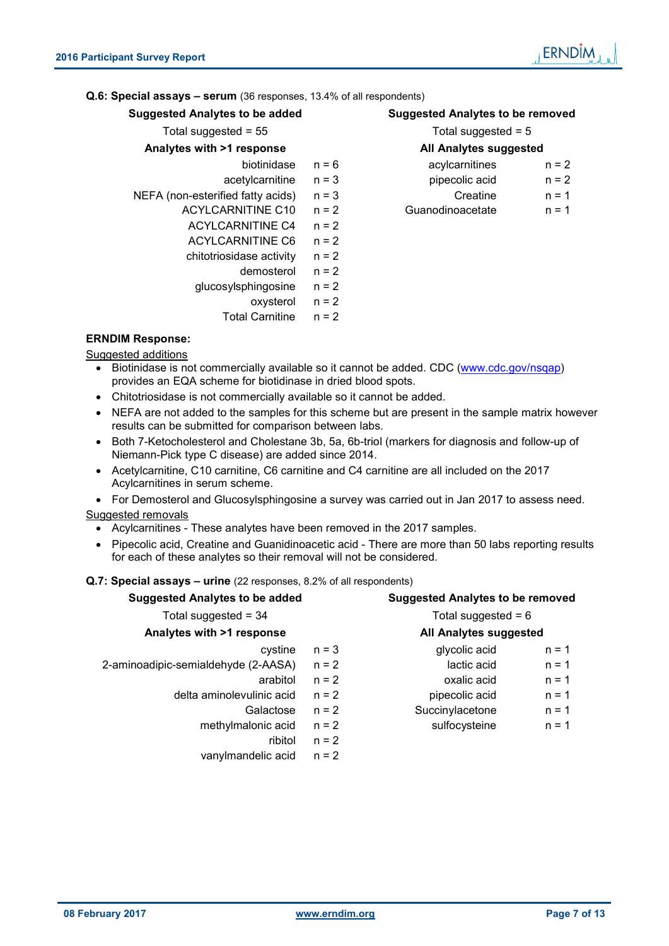#### **Q.6: Special assays – serum** (36 responses, 13.4% of all respondents)

| <b>Suggested Analytes to be added</b> |         | <b>Suggested Analytes to be removed</b> |                       |  |  |
|---------------------------------------|---------|-----------------------------------------|-----------------------|--|--|
| Total suggested = $55$                |         |                                         | Total suggested $= 5$ |  |  |
| Analytes with >1 response             |         | <b>All Analytes suggested</b>           |                       |  |  |
| biotinidase                           | $n = 6$ | acylcarnitines                          | $n = 2$               |  |  |
| acetylcarnitine                       | $n = 3$ | pipecolic acid                          | $n = 2$               |  |  |
| NEFA (non-esterified fatty acids)     | $n = 3$ | Creatine                                | $n = 1$               |  |  |
| ACYLCARNITINE C10                     | $n = 2$ | Guanodinoacetate                        | $n = 1$               |  |  |
| <b>ACYLCARNITINE C4</b>               | $n = 2$ |                                         |                       |  |  |
| <b>ACYLCARNITINE C6</b>               | $n = 2$ |                                         |                       |  |  |
| chitotriosidase activity              | $n = 2$ |                                         |                       |  |  |
| demosterol                            | $n = 2$ |                                         |                       |  |  |
| glucosylsphingosine                   | $n = 2$ |                                         |                       |  |  |
| oxysterol                             | $n = 2$ |                                         |                       |  |  |
| <b>Total Carnitine</b>                | $n = 2$ |                                         |                       |  |  |
| INIM B.                               |         |                                         |                       |  |  |

# **ERNDIM Response:**

Suggested additions

- Biotinidase is not commercially available so it cannot be added. CDC (www.cdc.gov/nsqap) provides an EQA scheme for biotidinase in dried blood spots.
- Chitotriosidase is not commercially available so it cannot be added.
- NEFA are not added to the samples for this scheme but are present in the sample matrix however results can be submitted for comparison between labs.
- Both 7-Ketocholesterol and Cholestane 3b, 5a, 6b-triol (markers for diagnosis and follow-up of Niemann-Pick type C disease) are added since 2014.
- Acetylcarnitine, C10 carnitine, C6 carnitine and C4 carnitine are all included on the 2017 Acylcarnitines in serum scheme.

• For Demosterol and Glucosylsphingosine a survey was carried out in Jan 2017 to assess need. Suggested removals

- Acylcarnitines These analytes have been removed in the 2017 samples.
- Pipecolic acid, Creatine and Guanidinoacetic acid There are more than 50 labs reporting results for each of these analytes so their removal will not be considered.

#### **Q.7: Special assays – urine** (22 responses, 8.2% of all respondents)

| <b>Suggested Analytes to be added</b> |         | <b>Suggested Analytes to be removed</b> |
|---------------------------------------|---------|-----------------------------------------|
| Total suggested = $34$                |         | Total suggested = $6$                   |
| Analytes with >1 response             |         | All Analytes suggested                  |
| cystine                               | $n = 3$ | glycolic acid<br>$n = 1$                |
| 2-aminoadipic-semialdehyde (2-AASA)   | $n = 2$ | lactic acid<br>$n = 1$                  |
| arabitol                              | $n = 2$ | oxalic acid<br>$n = 1$                  |
| delta aminolevulinic acid             | $n = 2$ | pipecolic acid<br>$n = 1$               |
| Galactose                             | $n = 2$ | Succinylacetone<br>$n = 1$              |
| methylmalonic acid                    | $n = 2$ | sulfocysteine<br>$n = 1$                |
| ribitol                               | $n = 2$ |                                         |
| vanylmandelic acid                    | $n = 2$ |                                         |
|                                       |         |                                         |
|                                       |         |                                         |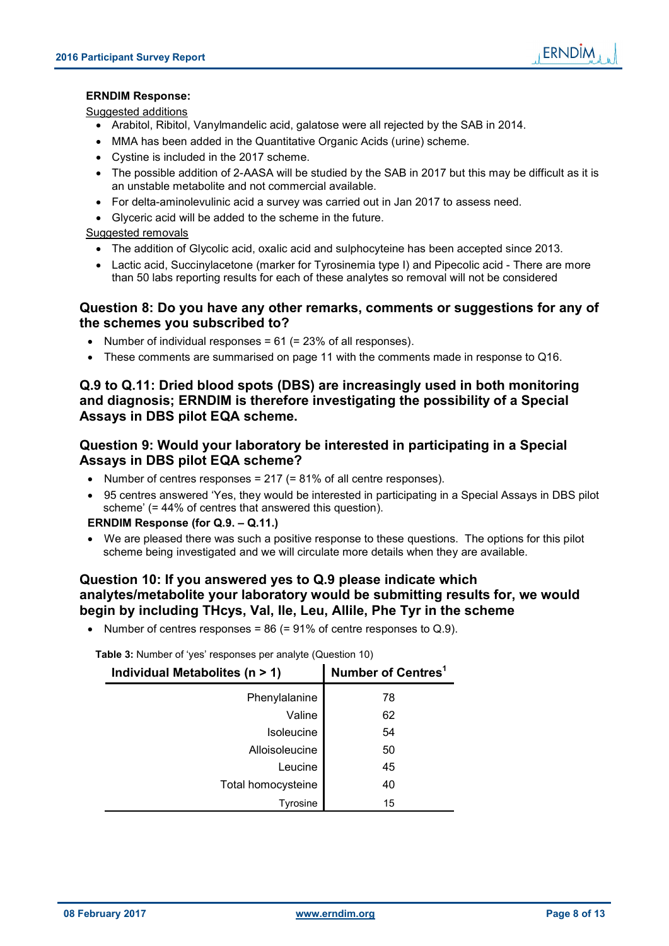**ERNDIM** 

### **ERNDIM Response:**

#### Suggested additions

- Arabitol, Ribitol, Vanylmandelic acid, galatose were all rejected by the SAB in 2014.
- MMA has been added in the Quantitative Organic Acids (urine) scheme.
- Cystine is included in the 2017 scheme.
- The possible addition of 2-AASA will be studied by the SAB in 2017 but this may be difficult as it is an unstable metabolite and not commercial available.
- For delta-aminolevulinic acid a survey was carried out in Jan 2017 to assess need.
- Glyceric acid will be added to the scheme in the future.

#### Suggested removals

- The addition of Glycolic acid, oxalic acid and sulphocyteine has been accepted since 2013.
- Lactic acid, Succinylacetone (marker for Tyrosinemia type I) and Pipecolic acid There are more than 50 labs reporting results for each of these analytes so removal will not be considered

#### **Question 8: Do you have any other remarks, comments or suggestions for any of the schemes you subscribed to?**

- Number of individual responses =  $61$  (=  $23\%$  of all responses).
- These comments are summarised on page 11 with the comments made in response to Q16.

### **Q.9 to Q.11: Dried blood spots (DBS) are increasingly used in both monitoring and diagnosis; ERNDIM is therefore investigating the possibility of a Special Assays in DBS pilot EQA scheme.**

### **Question 9: Would your laboratory be interested in participating in a Special Assays in DBS pilot EQA scheme?**

- Number of centres responses =  $217$  (=  $81\%$  of all centre responses).
- 95 centres answered 'Yes, they would be interested in participating in a Special Assays in DBS pilot scheme' (= 44% of centres that answered this question).

#### **ERNDIM Response (for Q.9. – Q.11.)**

 We are pleased there was such a positive response to these questions. The options for this pilot scheme being investigated and we will circulate more details when they are available.

#### **Question 10: If you answered yes to Q.9 please indicate which analytes/metabolite your laboratory would be submitting results for, we would begin by including THcys, Val, Ile, Leu, Allile, Phe Tyr in the scheme**

• Number of centres responses =  $86$  (=  $91\%$  of centre responses to Q.9).

| Individual Metabolites ( $n > 1$ ) | Number of Centres <sup>1</sup> |
|------------------------------------|--------------------------------|
| Phenylalanine                      | 78                             |
| Valine                             | 62                             |
| Isoleucine                         | 54                             |
| Alloisoleucine                     | 50                             |
| Leucine                            | 45                             |
| Total homocysteine                 | 40                             |
| Tyrosine                           | 15                             |

**Table 3:** Number of 'yes' responses per analyte (Question 10)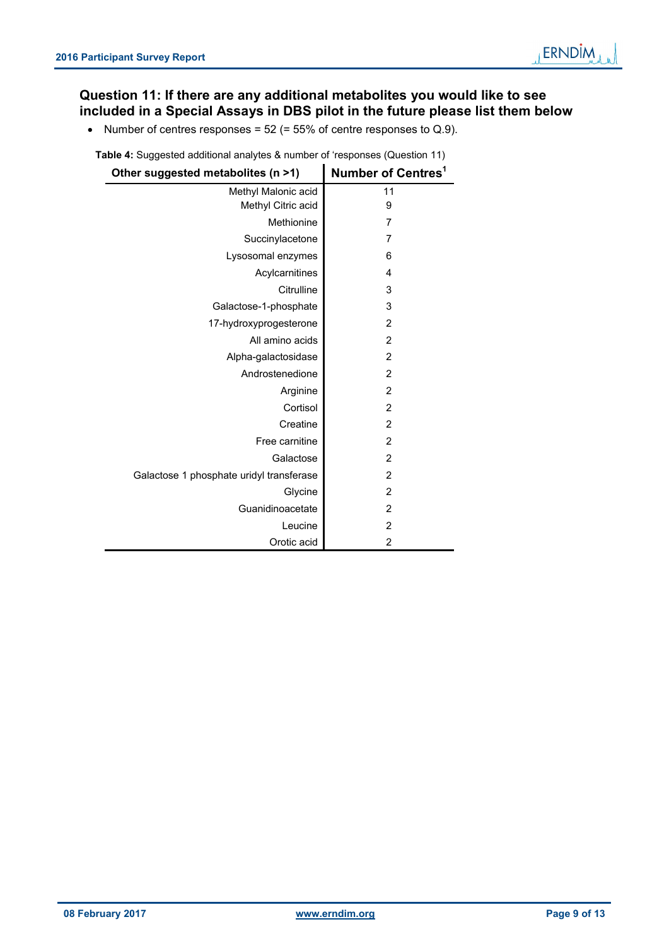# **Question 11: If there are any additional metabolites you would like to see included in a Special Assays in DBS pilot in the future please list them below**

• Number of centres responses =  $52$  (=  $55\%$  of centre responses to Q.9).

**Table 4:** Suggested additional analytes & number of 'responses (Question 11)

| Other suggested metabolites (n >1)       | Number of Centres <sup>1</sup> |
|------------------------------------------|--------------------------------|
| Methyl Malonic acid                      | 11                             |
| Methyl Citric acid                       | 9                              |
| Methionine                               | 7                              |
| Succinylacetone                          | 7                              |
| Lysosomal enzymes                        | 6                              |
| Acylcarnitines                           | 4                              |
| Citrulline                               | 3                              |
| Galactose-1-phosphate                    | 3                              |
| 17-hydroxyprogesterone                   | 2                              |
| All amino acids                          | $\overline{2}$                 |
| Alpha-galactosidase                      | $\overline{2}$                 |
| Androstenedione                          | $\overline{c}$                 |
| Arginine                                 | $\overline{2}$                 |
| Cortisol                                 | $\overline{2}$                 |
| Creatine                                 | 2                              |
| Free carnitine                           | $\overline{2}$                 |
| Galactose                                | $\overline{2}$                 |
| Galactose 1 phosphate uridyl transferase | $\overline{2}$                 |
| Glycine                                  | $\overline{2}$                 |
| Guanidinoacetate                         | $\overline{2}$                 |
| Leucine                                  | 2                              |
| Orotic acid                              | $\overline{2}$                 |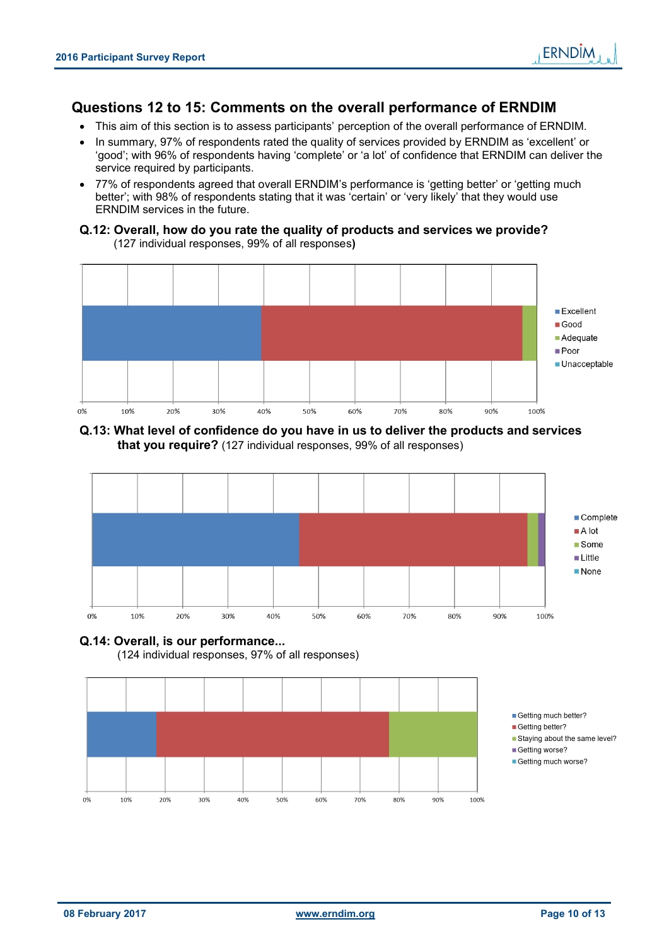# **Questions 12 to 15: Comments on the overall performance of ERNDIM**

- This aim of this section is to assess participants' perception of the overall performance of ERNDIM.
- In summary, 97% of respondents rated the quality of services provided by ERNDIM as 'excellent' or 'good'; with 96% of respondents having 'complete' or 'a lot' of confidence that ERNDIM can deliver the service required by participants.
- 77% of respondents agreed that overall ERNDIM's performance is 'getting better' or 'getting much better'; with 98% of respondents stating that it was 'certain' or 'very likely' that they would use ERNDIM services in the future.

#### **Q.12: Overall, how do you rate the quality of products and services we provide?** (127 individual responses, 99% of all responses**)**



#### **Q.13: What level of confidence do you have in us to deliver the products and services that you require?** (127 individual responses, 99% of all responses)



# **Q.14: Overall, is our performance...**

(124 individual responses, 97% of all responses)

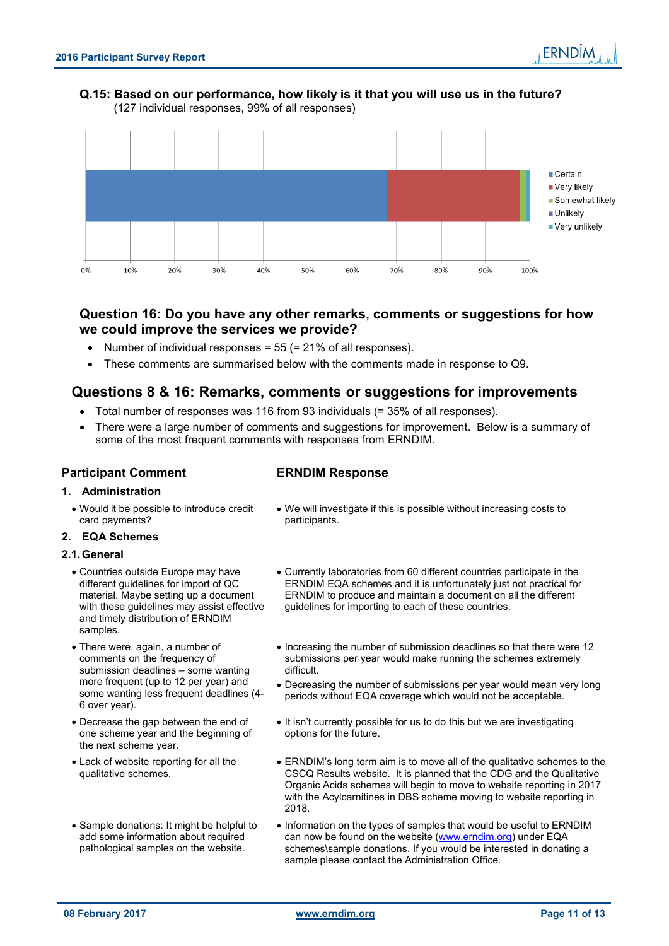#### **Q.15: Based on our performance, how likely is it that you will use us in the future?** (127 individual responses, 99% of all responses)



# **Question 16: Do you have any other remarks, comments or suggestions for how we could improve the services we provide?**

- Number of individual responses = 55 (= 21% of all responses).
- These comments are summarised below with the comments made in response to Q9.

# **Questions 8 & 16: Remarks, comments or suggestions for improvements**

- Total number of responses was 116 from 93 individuals (= 35% of all responses).
- There were a large number of comments and suggestions for improvement. Below is a summary of some of the most frequent comments with responses from ERNDIM.

#### **Participant Comment ERNDIM Response**

#### **1. Administration**

 Would it be possible to introduce credit card payments?

#### **2. EQA Schemes**

#### **2.1. General**

- Countries outside Europe may have different guidelines for import of QC material. Maybe setting up a document with these guidelines may assist effective and timely distribution of ERNDIM samples.
- There were, again, a number of comments on the frequency of submission deadlines – some wanting more frequent (up to 12 per year) and some wanting less frequent deadlines (4- 6 over year).
- Decrease the gap between the end of one scheme year and the beginning of the next scheme year.
- Lack of website reporting for all the qualitative schemes.
- Sample donations: It might be helpful to add some information about required pathological samples on the website.

- We will investigate if this is possible without increasing costs to participants.
- Currently laboratories from 60 different countries participate in the ERNDIM EQA schemes and it is unfortunately just not practical for ERNDIM to produce and maintain a document on all the different guidelines for importing to each of these countries.
- Increasing the number of submission deadlines so that there were 12 submissions per year would make running the schemes extremely difficult.
- Decreasing the number of submissions per year would mean very long periods without EQA coverage which would not be acceptable.
- It isn't currently possible for us to do this but we are investigating options for the future.
- ERNDIM's long term aim is to move all of the qualitative schemes to the CSCQ Results website. It is planned that the CDG and the Qualitative Organic Acids schemes will begin to move to website reporting in 2017 with the Acylcarnitines in DBS scheme moving to website reporting in 2018.
- Information on the types of samples that would be useful to ERNDIM can now be found on the website (www.erndim.org) under EQA schemes\sample donations. If you would be interested in donating a sample please contact the Administration Office.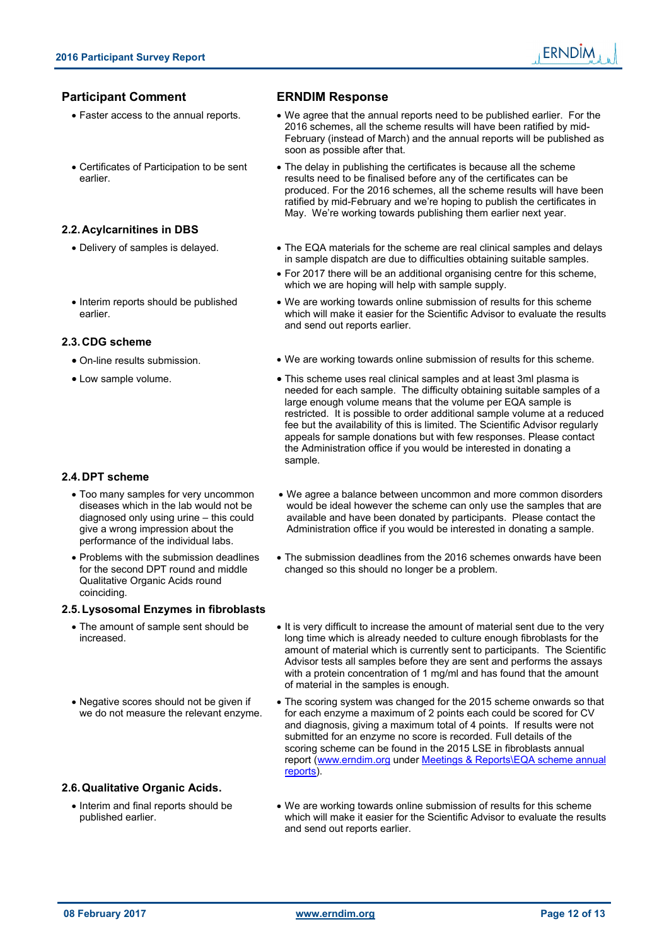#### **Participant Comment ERNDIM Response**

- 
- Certificates of Participation to be sent earlier.

#### **2.2. Acylcarnitines in DBS**

- 
- Interim reports should be published earlier.

#### **2.3. CDG scheme**

- 
- 

#### **2.4. DPT scheme**

- Too many samples for very uncommon diseases which in the lab would not be diagnosed only using urine – this could give a wrong impression about the performance of the individual labs.
- Problems with the submission deadlines for the second DPT round and middle Qualitative Organic Acids round coinciding.

#### **2.5. Lysosomal Enzymes in fibroblasts**

- The amount of sample sent should be increased.
- Negative scores should not be given if we do not measure the relevant enzyme.

#### **2.6. Qualitative Organic Acids.**

• Interim and final reports should be published earlier.

- 
- Faster access to the annual reports. We agree that the annual reports need to be published earlier. For the 2016 schemes, all the scheme results will have been ratified by mid-February (instead of March) and the annual reports will be published as soon as possible after that.
	- The delay in publishing the certificates is because all the scheme results need to be finalised before any of the certificates can be produced. For the 2016 schemes, all the scheme results will have been ratified by mid-February and we're hoping to publish the certificates in May. We're working towards publishing them earlier next year.
- Delivery of samples is delayed. The EQA materials for the scheme are real clinical samples and delays in sample dispatch are due to difficulties obtaining suitable samples.
	- For 2017 there will be an additional organising centre for this scheme, which we are hoping will help with sample supply.
	- We are working towards online submission of results for this scheme which will make it easier for the Scientific Advisor to evaluate the results and send out reports earlier.
- On-line results submission. We are working towards online submission of results for this scheme.
- Low sample volume.  $\bullet$  This scheme uses real clinical samples and at least 3ml plasma is needed for each sample. The difficulty obtaining suitable samples of a large enough volume means that the volume per EQA sample is restricted. It is possible to order additional sample volume at a reduced fee but the availability of this is limited. The Scientific Advisor regularly appeals for sample donations but with few responses. Please contact the Administration office if you would be interested in donating a sample.
	- We agree a balance between uncommon and more common disorders would be ideal however the scheme can only use the samples that are available and have been donated by participants. Please contact the Administration office if you would be interested in donating a sample.
	- The submission deadlines from the 2016 schemes onwards have been changed so this should no longer be a problem.
	- It is very difficult to increase the amount of material sent due to the very long time which is already needed to culture enough fibroblasts for the amount of material which is currently sent to participants. The Scientific Advisor tests all samples before they are sent and performs the assays with a protein concentration of 1 mg/ml and has found that the amount of material in the samples is enough.
	- The scoring system was changed for the 2015 scheme onwards so that for each enzyme a maximum of 2 points each could be scored for CV and diagnosis, giving a maximum total of 4 points. If results were not submitted for an enzyme no score is recorded. Full details of the scoring scheme can be found in the 2015 LSE in fibroblasts annual report (www.erndim.org under Meetings & Reports\EQA scheme annual reports).
	- We are working towards online submission of results for this scheme which will make it easier for the Scientific Advisor to evaluate the results and send out reports earlier.